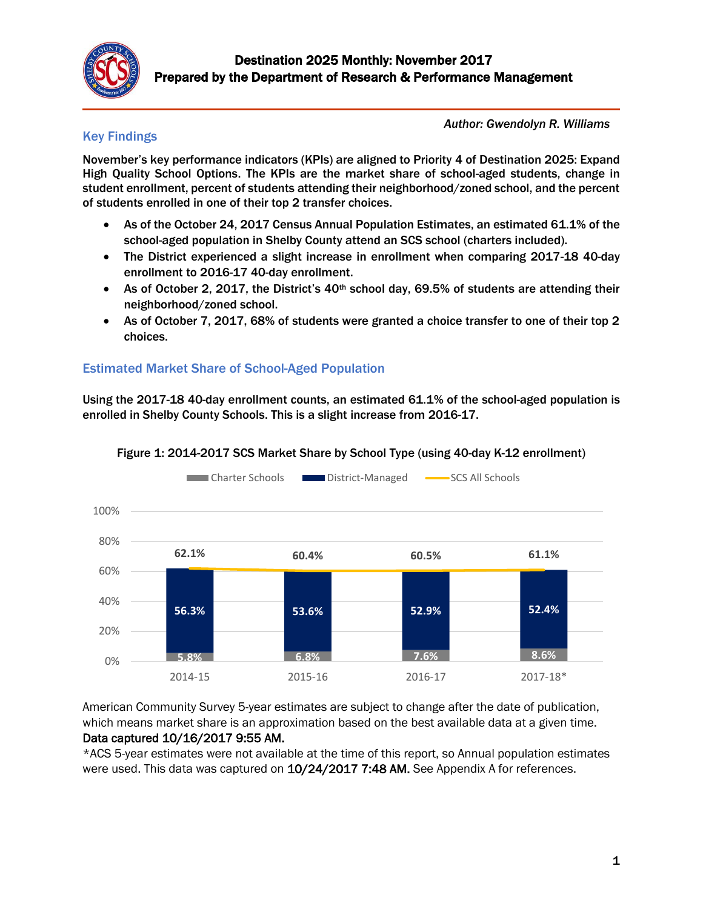

### Key Findings

*Author: Gwendolyn R. Williams*

November's key performance indicators (KPIs) are aligned to Priority 4 of Destination 2025: Expand High Quality School Options. The KPIs are the market share of school-aged students, change in student enrollment, percent of students attending their neighborhood/zoned school, and the percent of students enrolled in one of their top 2 transfer choices.

- As of the October 24, 2017 Census Annual Population Estimates, an estimated 61.1% of the school-aged population in Shelby County attend an SCS school (charters included).
- The District experienced a slight increase in enrollment when comparing 2017-18 40-day enrollment to 2016-17 40-day enrollment.
- As of October 2, 2017, the District's  $40<sup>th</sup>$  school day, 69.5% of students are attending their neighborhood/zoned school.
- As of October 7, 2017, 68% of students were granted a choice transfer to one of their top 2 choices.

### Estimated Market Share of School-Aged Population

Using the 2017-18 40-day enrollment counts, an estimated 61.1% of the school-aged population is enrolled in Shelby County Schools. This is a slight increase from 2016-17.



#### Figure 1: 2014-2017 SCS Market Share by School Type (using 40-day K-12 enrollment)

American Community Survey 5-year estimates are subject to change after the date of publication, which means market share is an approximation based on the best available data at a given time. Data captured 10/16/2017 9:55 AM.

\*ACS 5-year estimates were not available at the time of this report, so Annual population estimates were used. This data was captured on 10/24/2017 7:48 AM. See Appendix A for references.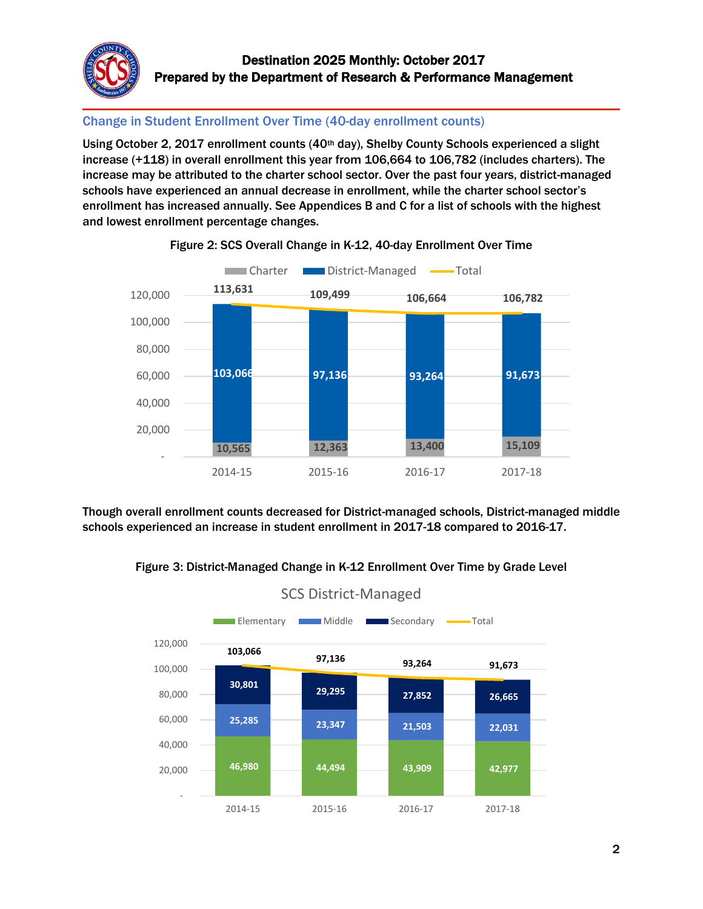

### Change in Student Enrollment Over Time (40-day enrollment counts)

Using October 2, 2017 enrollment counts (40th day), Shelby County Schools experienced a slight increase (+118) in overall enrollment this year from 106,664 to 106,782 (includes charters). The increase may be attributed to the charter school sector. Over the past four years, district-managed schools have experienced an annual decrease in enrollment, while the charter school sector's enrollment has increased annually. See Appendices B and C for a list of schools with the highest and lowest enrollment percentage changes.



#### Figure 2: SCS Overall Change in K-12, 40-day Enrollment Over Time

Though overall enrollment counts decreased for District-managed schools, District-managed middle schools experienced an increase in student enrollment in 2017-18 compared to 2016-17.





# SCS District-Managed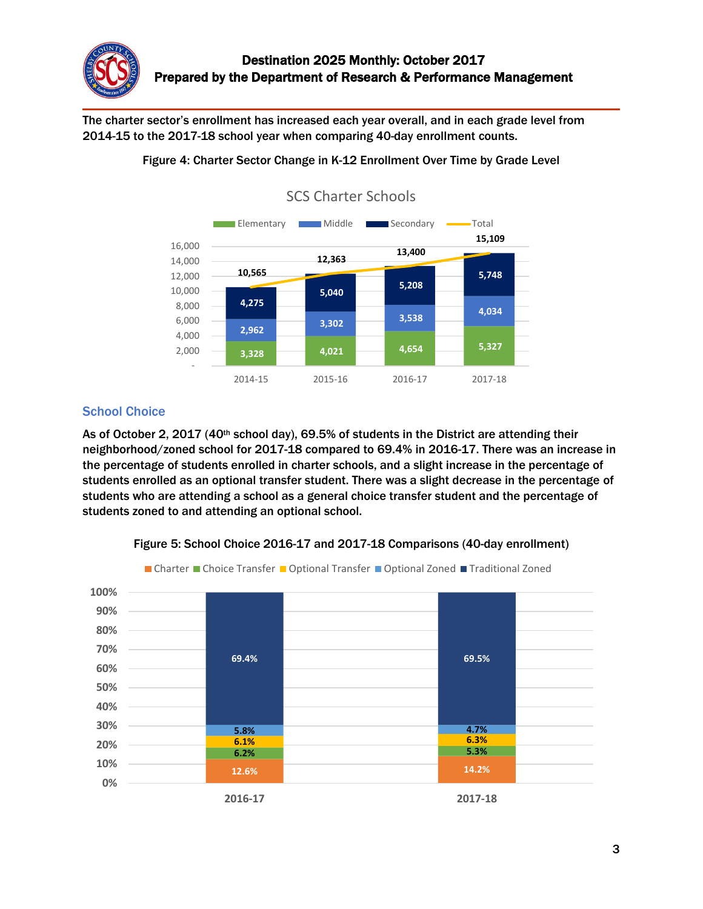

The charter sector's enrollment has increased each year overall, and in each grade level from 2014-15 to the 2017-18 school year when comparing 40-day enrollment counts.



### Figure 4: Charter Sector Change in K-12 Enrollment Over Time by Grade Level

### **School Choice**

As of October 2, 2017 (40<sup>th</sup> school day), 69.5% of students in the District are attending their neighborhood/zoned school for 2017-18 compared to 69.4% in 2016-17. There was an increase in the percentage of students enrolled in charter schools, and a slight increase in the percentage of students enrolled as an optional transfer student. There was a slight decrease in the percentage of students who are attending a school as a general choice transfer student and the percentage of students zoned to and attending an optional school.



Figure 5: School Choice 2016-17 and 2017-18 Comparisons (40-day enrollment)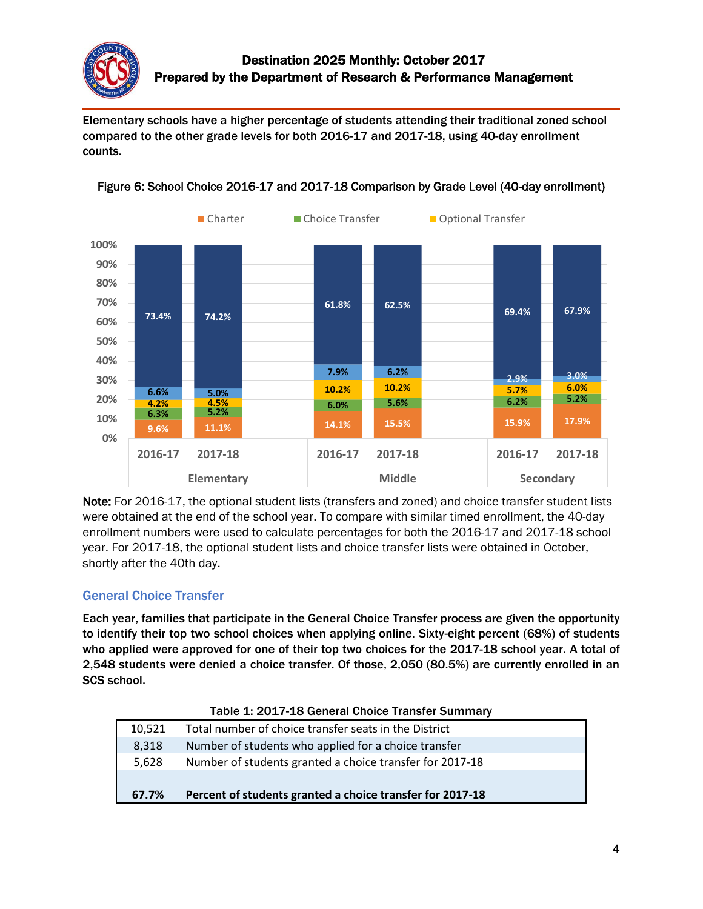

Elementary schools have a higher percentage of students attending their traditional zoned school compared to the other grade levels for both 2016-17 and 2017-18, using 40-day enrollment counts.



#### Figure 6: School Choice 2016-17 and 2017-18 Comparison by Grade Level (40-day enrollment)

Note: For 2016-17, the optional student lists (transfers and zoned) and choice transfer student lists were obtained at the end of the school year. To compare with similar timed enrollment, the 40-day enrollment numbers were used to calculate percentages for both the 2016-17 and 2017-18 school year. For 2017-18, the optional student lists and choice transfer lists were obtained in October, shortly after the 40th day.

### General Choice Transfer

Each year, families that participate in the General Choice Transfer process are given the opportunity to identify their top two school choices when applying online. Sixty-eight percent (68%) of students who applied were approved for one of their top two choices for the 2017-18 school year. A total of 2,548 students were denied a choice transfer. Of those, 2,050 (80.5%) are currently enrolled in an SCS school.

| Table 1. 2017-10 Gelleral Choice Transfer Summary |                                                           |  |  |  |
|---------------------------------------------------|-----------------------------------------------------------|--|--|--|
| 10.521                                            | Total number of choice transfer seats in the District     |  |  |  |
| 8.318                                             | Number of students who applied for a choice transfer      |  |  |  |
| 5.628                                             | Number of students granted a choice transfer for 2017-18  |  |  |  |
|                                                   |                                                           |  |  |  |
| 67.7%                                             | Percent of students granted a choice transfer for 2017-18 |  |  |  |

#### Table 1: 2017-18 General Choice Transfer Summary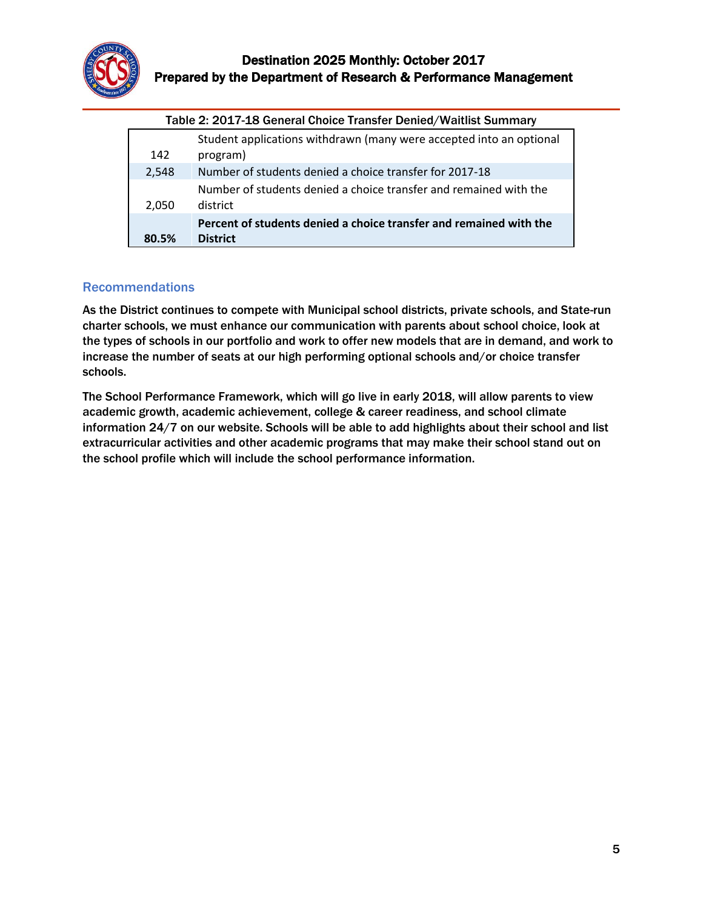

| Table 2: 2017-18 General Choice Transfer Denied/Waitlist Summary |                                                                                       |  |  |  |  |
|------------------------------------------------------------------|---------------------------------------------------------------------------------------|--|--|--|--|
| 142                                                              | Student applications withdrawn (many were accepted into an optional<br>program)       |  |  |  |  |
| 2,548                                                            | Number of students denied a choice transfer for 2017-18                               |  |  |  |  |
| 2,050                                                            | Number of students denied a choice transfer and remained with the<br>district         |  |  |  |  |
| 80.5%                                                            | Percent of students denied a choice transfer and remained with the<br><b>District</b> |  |  |  |  |

#### Table 2: 2017-18 General Choice Transfer Denied/Waitlist Summary

#### Recommendations

As the District continues to compete with Municipal school districts, private schools, and State-run charter schools, we must enhance our communication with parents about school choice, look at the types of schools in our portfolio and work to offer new models that are in demand, and work to increase the number of seats at our high performing optional schools and/or choice transfer schools.

The School Performance Framework, which will go live in early 2018, will allow parents to view academic growth, academic achievement, college & career readiness, and school climate information 24/7 on our website. Schools will be able to add highlights about their school and list extracurricular activities and other academic programs that may make their school stand out on the school profile which will include the school performance information.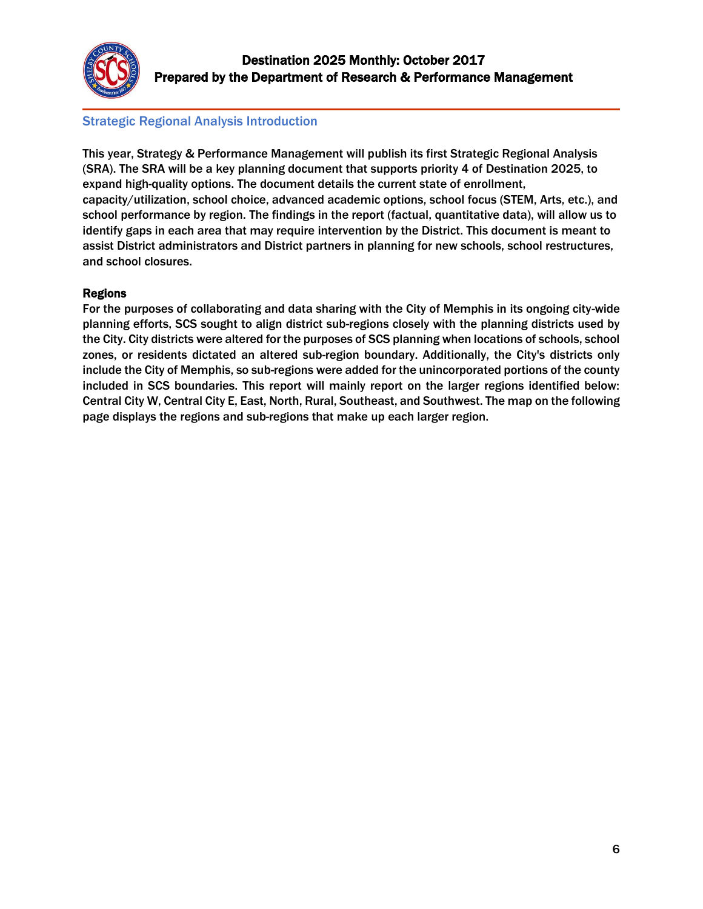

### Strategic Regional Analysis Introduction

This year, Strategy & Performance Management will publish its first Strategic Regional Analysis (SRA). The SRA will be a key planning document that supports priority 4 of Destination 2025, to expand high-quality options. The document details the current state of enrollment, capacity/utilization, school choice, advanced academic options, school focus (STEM, Arts, etc.), and school performance by region. The findings in the report (factual, quantitative data), will allow us to identify gaps in each area that may require intervention by the District. This document is meant to assist District administrators and District partners in planning for new schools, school restructures, and school closures.

#### Regions

For the purposes of collaborating and data sharing with the City of Memphis in its ongoing city-wide planning efforts, SCS sought to align district sub-regions closely with the planning districts used by the City. City districts were altered for the purposes of SCS planning when locations of schools, school zones, or residents dictated an altered sub-region boundary. Additionally, the City's districts only include the City of Memphis, so sub-regions were added for the unincorporated portions of the county included in SCS boundaries. This report will mainly report on the larger regions identified below: Central City W, Central City E, East, North, Rural, Southeast, and Southwest. The map on the following page displays the regions and sub-regions that make up each larger region.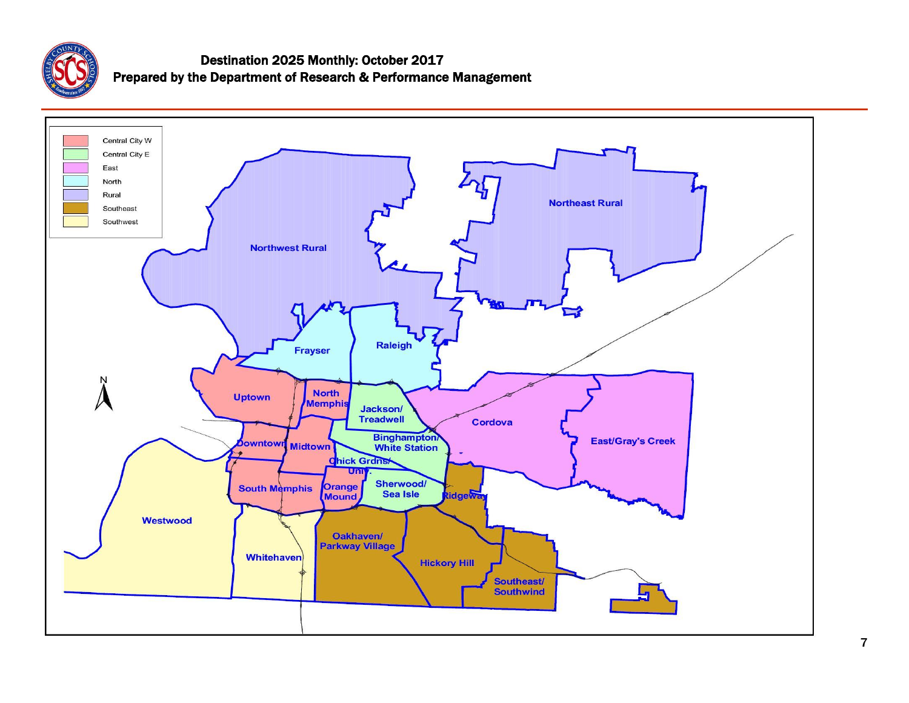

## Destination 2025 Monthly: October 2017 Prepared by the Department of Research & Performance Management

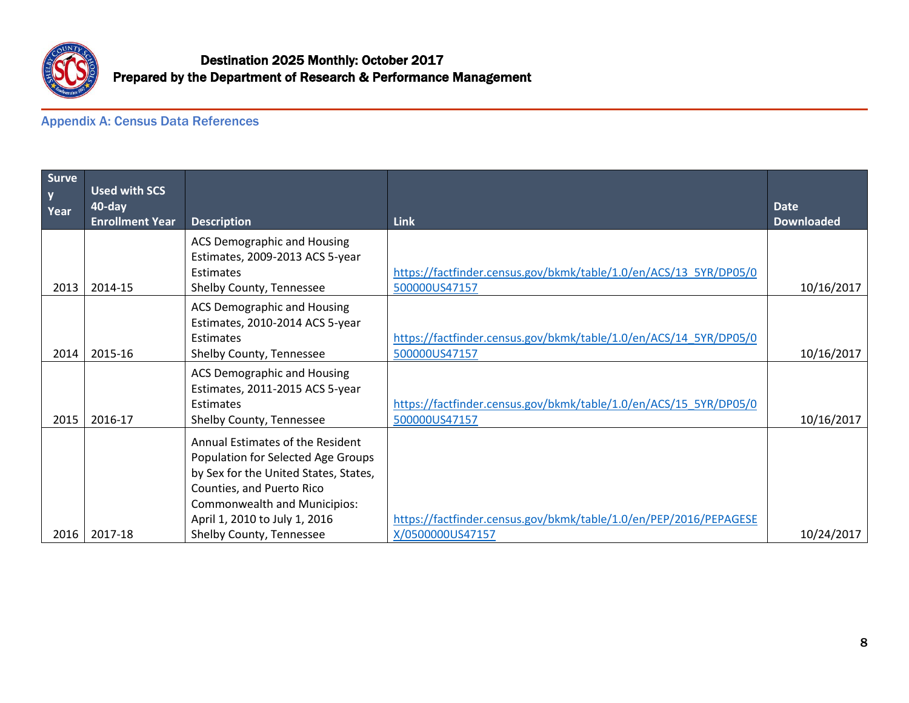

## Appendix A: Census Data References

| Surve<br>$\mathbf{y}$<br>Year | <b>Used with SCS</b><br>40-day |                                                                                                                                              |                                                                   | <b>Date</b>       |
|-------------------------------|--------------------------------|----------------------------------------------------------------------------------------------------------------------------------------------|-------------------------------------------------------------------|-------------------|
|                               | <b>Enrollment Year</b>         | <b>Description</b>                                                                                                                           | <b>Link</b>                                                       | <b>Downloaded</b> |
|                               |                                | <b>ACS Demographic and Housing</b><br>Estimates, 2009-2013 ACS 5-year                                                                        |                                                                   |                   |
|                               |                                | Estimates                                                                                                                                    | https://factfinder.census.gov/bkmk/table/1.0/en/ACS/13 5YR/DP05/0 |                   |
| 2013                          | 2014-15                        | Shelby County, Tennessee                                                                                                                     | 500000US47157                                                     | 10/16/2017        |
|                               |                                | <b>ACS Demographic and Housing</b><br>Estimates, 2010-2014 ACS 5-year                                                                        |                                                                   |                   |
|                               |                                | Estimates                                                                                                                                    | https://factfinder.census.gov/bkmk/table/1.0/en/ACS/14 5YR/DP05/0 |                   |
| 2014                          | 2015-16                        | Shelby County, Tennessee                                                                                                                     | 500000US47157                                                     | 10/16/2017        |
|                               |                                | <b>ACS Demographic and Housing</b><br>Estimates, 2011-2015 ACS 5-year<br>Estimates                                                           | https://factfinder.census.gov/bkmk/table/1.0/en/ACS/15 5YR/DP05/0 |                   |
| 2015                          | 2016-17                        | Shelby County, Tennessee                                                                                                                     | 500000US47157                                                     | 10/16/2017        |
|                               |                                | Annual Estimates of the Resident<br>Population for Selected Age Groups<br>by Sex for the United States, States,<br>Counties, and Puerto Rico |                                                                   |                   |
|                               |                                | <b>Commonwealth and Municipios:</b>                                                                                                          |                                                                   |                   |
|                               |                                | April 1, 2010 to July 1, 2016                                                                                                                | https://factfinder.census.gov/bkmk/table/1.0/en/PEP/2016/PEPAGESE |                   |
| 2016                          | 2017-18                        | Shelby County, Tennessee                                                                                                                     | X/0500000US47157                                                  | 10/24/2017        |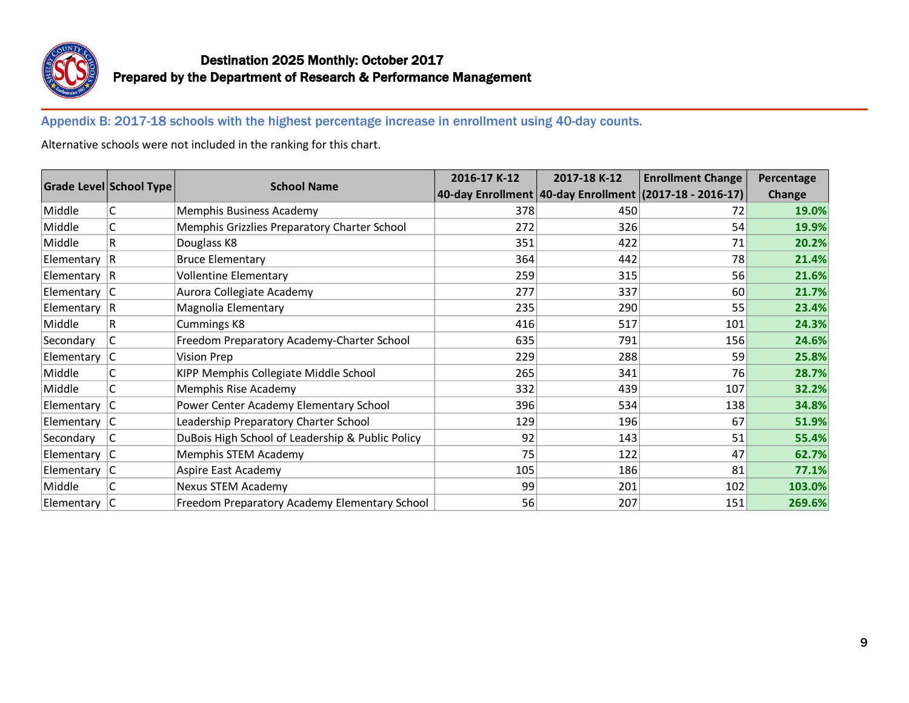

Appendix B: 2017-18 schools with the highest percentage increase in enrollment using 40-day counts.

Alternative schools were not included in the ranking for this chart.

|                  | Grade Level School Type | <b>School Name</b>                               | 2016-17 K-12 | 2017-18 K-12 | <b>Enrollment Change</b>                                    | Percentage    |
|------------------|-------------------------|--------------------------------------------------|--------------|--------------|-------------------------------------------------------------|---------------|
|                  |                         |                                                  |              |              | 40-day Enrollment   40-day Enrollment   (2017-18 - 2016-17) | <b>Change</b> |
| Middle           | С                       | Memphis Business Academy                         | 378          | 450          | 72                                                          | 19.0%         |
| Middle           | C                       | Memphis Grizzlies Preparatory Charter School     | 272          | 326          | 54                                                          | 19.9%         |
| Middle           | R                       | Douglass K8                                      | 351          | 422          | 71                                                          | 20.2%         |
| Elementary $ R$  |                         | <b>Bruce Elementary</b>                          | 364          | 442          | 78                                                          | 21.4%         |
| Elementary $ R$  |                         | <b>Vollentine Elementary</b>                     | 259          | 315          | 56                                                          | 21.6%         |
| Elementary $ C $ |                         | Aurora Collegiate Academy                        | 277          | 337          | 60                                                          | 21.7%         |
| Elementary $ R$  |                         | Magnolia Elementary                              | 235          | 290          | 55                                                          | 23.4%         |
| Middle           | R                       | Cummings K8                                      | 416          | 517          | 101                                                         | 24.3%         |
| Secondary        | С                       | Freedom Preparatory Academy-Charter School       | 635          | 791          | 156                                                         | 24.6%         |
| Elementary $ C $ |                         | <b>Vision Prep</b>                               | 229          | 288          | 59                                                          | 25.8%         |
| Middle           | С                       | KIPP Memphis Collegiate Middle School            | 265          | 341          | 76                                                          | 28.7%         |
| Middle           | C                       | Memphis Rise Academy                             | 332          | 439          | 107                                                         | 32.2%         |
| Elementary $ C $ |                         | Power Center Academy Elementary School           | 396          | 534          | 138                                                         | 34.8%         |
| Elementary C     |                         | Leadership Preparatory Charter School            | 129          | 196          | 67                                                          | 51.9%         |
| Secondary        | C                       | DuBois High School of Leadership & Public Policy | 92           | 143          | 51                                                          | 55.4%         |
| Elementary C     |                         | Memphis STEM Academy                             | 75           | 122          | 47                                                          | 62.7%         |
| Elementary $ C $ |                         | Aspire East Academy                              | 105          | 186          | 81                                                          | 77.1%         |
| Middle           | С                       | <b>Nexus STEM Academy</b>                        | 99           | 201          | 102                                                         | 103.0%        |
| Elementary $ C $ |                         | Freedom Preparatory Academy Elementary School    | 56           | 207          | 151                                                         | 269.6%        |